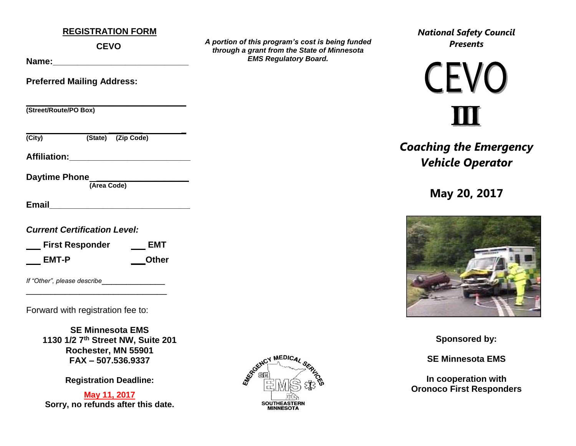### **REGISTRATION FORM**

**CEVO**

**Name:** 

**Preferred Mailing Address:**

**\_\_\_\_\_\_\_\_\_\_\_\_\_\_\_\_\_\_\_\_\_\_\_\_\_\_\_\_\_\_\_\_\_ (Street/Route/PO Box)**

 **\_\_\_\_\_\_\_ \_** 

**(City) (State) (Zip Code)**

**Affiliation:\_\_\_\_\_\_\_\_\_\_\_\_\_\_\_\_\_\_\_\_\_\_\_\_\_** 

**Daytime Phone \_\_\_\_\_\_\_\_\_\_\_\_\_\_\_\_\_\_\_** 

 **(Area Code)**

**Email Email** 

*Current Certification Level:* 

| <b>First Responder</b> | EMT          |
|------------------------|--------------|
| EMT-P                  | <b>Other</b> |

\_\_\_\_\_\_\_\_\_\_\_\_\_\_\_\_\_\_\_\_\_\_\_\_\_\_\_\_\_

*If "Other", please describe*\_\_\_\_\_\_\_\_\_\_\_\_\_

Forward with registration fee to:

**SE Minnesota EMS 1130 1/2 7th Street NW, Suite 201 Rochester, MN 55901 FAX – 507.536.9337**

**Registration Deadline:** 

**May 11, 2017 Sorry, no refunds after this date.**



*A portion of this program's cost is being funded through a grant from the State of Minnesota EMS Regulatory Board.*

*National Safety Council Presents*

# **CEVO**

*Coaching the Emergency Vehicle Operator*

**May 20, 2017**



**Sponsored by:**

**SE Minnesota EMS**

**In cooperation with Oronoco First Responders**